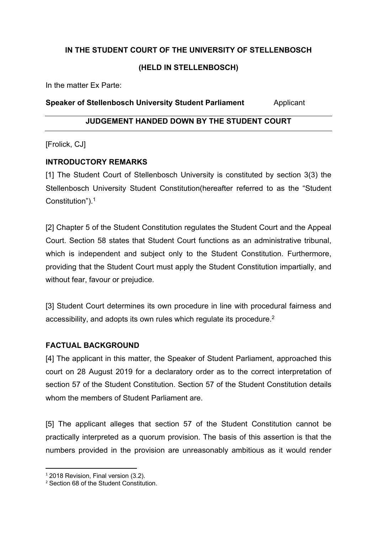# **IN THE STUDENT COURT OF THE UNIVERSITY OF STELLENBOSCH**

#### **(HELD IN STELLENBOSCH)**

In the matter Ex Parte:

#### **Speaker of Stellenbosch University Student Parliament** Applicant

# **JUDGEMENT HANDED DOWN BY THE STUDENT COURT**

[Frolick, CJ]

## **INTRODUCTORY REMARKS**

[1] The Student Court of Stellenbosch University is constituted by section 3(3) the Stellenbosch University Student Constitution(hereafter referred to as the "Student Constitution"). 1

[2] Chapter 5 of the Student Constitution regulates the Student Court and the Appeal Court. Section 58 states that Student Court functions as an administrative tribunal, which is independent and subject only to the Student Constitution. Furthermore, providing that the Student Court must apply the Student Constitution impartially, and without fear, favour or prejudice.

[3] Student Court determines its own procedure in line with procedural fairness and accessibility, and adopts its own rules which regulate its procedure.2

## **FACTUAL BACKGROUND**

[4] The applicant in this matter, the Speaker of Student Parliament, approached this court on 28 August 2019 for a declaratory order as to the correct interpretation of section 57 of the Student Constitution. Section 57 of the Student Constitution details whom the members of Student Parliament are.

[5] The applicant alleges that section 57 of the Student Constitution cannot be practically interpreted as a quorum provision. The basis of this assertion is that the numbers provided in the provision are unreasonably ambitious as it would render

<sup>&</sup>lt;sup>1</sup> 2018 Revision, Final version (3.2).

<sup>2</sup> Section 68 of the Student Constitution.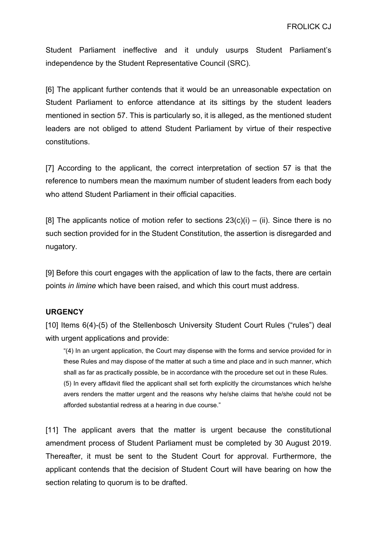Student Parliament ineffective and it unduly usurps Student Parliament's independence by the Student Representative Council (SRC).

[6] The applicant further contends that it would be an unreasonable expectation on Student Parliament to enforce attendance at its sittings by the student leaders mentioned in section 57. This is particularly so, it is alleged, as the mentioned student leaders are not obliged to attend Student Parliament by virtue of their respective constitutions.

[7] According to the applicant, the correct interpretation of section 57 is that the reference to numbers mean the maximum number of student leaders from each body who attend Student Parliament in their official capacities.

[8] The applicants notice of motion refer to sections  $23(c)(i) - (ii)$ . Since there is no such section provided for in the Student Constitution, the assertion is disregarded and nugatory.

[9] Before this court engages with the application of law to the facts, there are certain points *in limine* which have been raised, and which this court must address.

#### **URGENCY**

[10] Items 6(4)-(5) of the Stellenbosch University Student Court Rules ("rules") deal with urgent applications and provide:

"(4) In an urgent application, the Court may dispense with the forms and service provided for in these Rules and may dispose of the matter at such a time and place and in such manner, which shall as far as practically possible, be in accordance with the procedure set out in these Rules. (5) In every affidavit filed the applicant shall set forth explicitly the circumstances which he/she avers renders the matter urgent and the reasons why he/she claims that he/she could not be afforded substantial redress at a hearing in due course."

[11] The applicant avers that the matter is urgent because the constitutional amendment process of Student Parliament must be completed by 30 August 2019. Thereafter, it must be sent to the Student Court for approval. Furthermore, the applicant contends that the decision of Student Court will have bearing on how the section relating to quorum is to be drafted.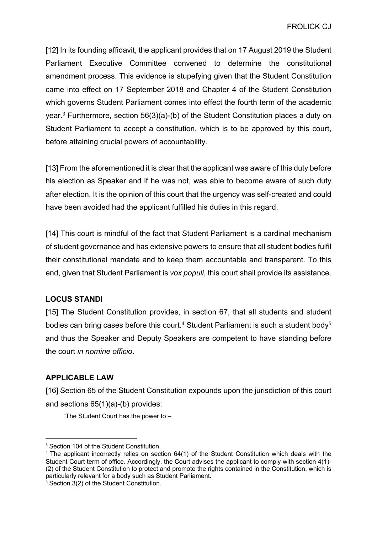[12] In its founding affidavit, the applicant provides that on 17 August 2019 the Student Parliament Executive Committee convened to determine the constitutional amendment process. This evidence is stupefying given that the Student Constitution came into effect on 17 September 2018 and Chapter 4 of the Student Constitution which governs Student Parliament comes into effect the fourth term of the academic year.3 Furthermore, section 56(3)(a)-(b) of the Student Constitution places a duty on Student Parliament to accept a constitution, which is to be approved by this court, before attaining crucial powers of accountability.

[13] From the aforementioned it is clear that the applicant was aware of this duty before his election as Speaker and if he was not, was able to become aware of such duty after election. It is the opinion of this court that the urgency was self-created and could have been avoided had the applicant fulfilled his duties in this regard.

[14] This court is mindful of the fact that Student Parliament is a cardinal mechanism of student governance and has extensive powers to ensure that all student bodies fulfil their constitutional mandate and to keep them accountable and transparent. To this end, given that Student Parliament is *vox populi*, this court shall provide its assistance.

## **LOCUS STANDI**

[15] The Student Constitution provides, in section 67, that all students and student bodies can bring cases before this court.<sup>4</sup> Student Parliament is such a student body<sup>5</sup> and thus the Speaker and Deputy Speakers are competent to have standing before the court *in nomine officio*.

## **APPLICABLE LAW**

[16] Section 65 of the Student Constitution expounds upon the jurisdiction of this court and sections 65(1)(a)-(b) provides:

"The Student Court has the power to –

<sup>&</sup>lt;sup>3</sup> Section 104 of the Student Constitution.

<sup>4</sup> The applicant incorrectly relies on section 64(1) of the Student Constitution which deals with the Student Court term of office. Accordingly, the Court advises the applicant to comply with section 4(1)- (2) of the Student Constitution to protect and promote the rights contained in the Constitution, which is particularly relevant for a body such as Student Parliament.

<sup>&</sup>lt;sup>5</sup> Section 3(2) of the Student Constitution.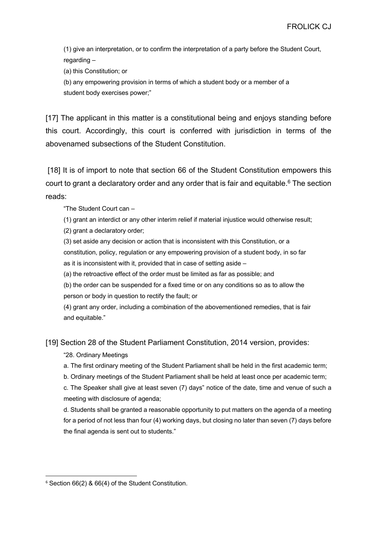(1) give an interpretation, or to confirm the interpretation of a party before the Student Court, regarding –

(a) this Constitution; or

(b) any empowering provision in terms of which a student body or a member of a student body exercises power;"

[17] The applicant in this matter is a constitutional being and enjoys standing before this court. Accordingly, this court is conferred with jurisdiction in terms of the abovenamed subsections of the Student Constitution.

[18] It is of import to note that section 66 of the Student Constitution empowers this court to grant a declaratory order and any order that is fair and equitable.<sup>6</sup> The section reads:

"The Student Court can –

(1) grant an interdict or any other interim relief if material injustice would otherwise result;

(2) grant a declaratory order;

(3) set aside any decision or action that is inconsistent with this Constitution, or a constitution, policy, regulation or any empowering provision of a student body, in so far as it is inconsistent with it, provided that in case of setting aside –

(a) the retroactive effect of the order must be limited as far as possible; and

(b) the order can be suspended for a fixed time or on any conditions so as to allow the person or body in question to rectify the fault; or

(4) grant any order, including a combination of the abovementioned remedies, that is fair and equitable."

[19] Section 28 of the Student Parliament Constitution, 2014 version, provides:

"28. Ordinary Meetings

a. The first ordinary meeting of the Student Parliament shall be held in the first academic term;

b. Ordinary meetings of the Student Parliament shall be held at least once per academic term;

c. The Speaker shall give at least seven (7) days" notice of the date, time and venue of such a meeting with disclosure of agenda;

d. Students shall be granted a reasonable opportunity to put matters on the agenda of a meeting for a period of not less than four (4) working days, but closing no later than seven (7) days before the final agenda is sent out to students."

<sup>6</sup> Section 66(2) & 66(4) of the Student Constitution.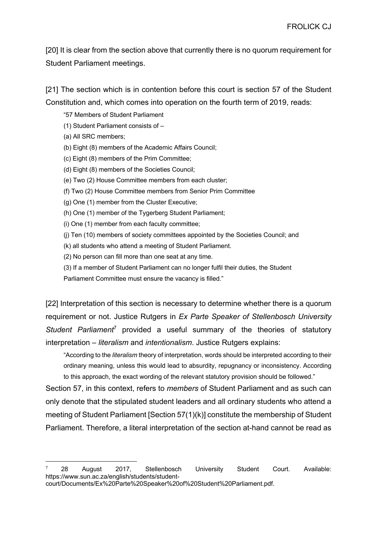[20] It is clear from the section above that currently there is no quorum requirement for Student Parliament meetings.

[21] The section which is in contention before this court is section 57 of the Student Constitution and, which comes into operation on the fourth term of 2019, reads:

"57 Members of Student Parliament

- (1) Student Parliament consists of –
- (a) All SRC members;
- (b) Eight (8) members of the Academic Affairs Council;
- (c) Eight (8) members of the Prim Committee;
- (d) Eight (8) members of the Societies Council;
- (e) Two (2) House Committee members from each cluster;
- (f) Two (2) House Committee members from Senior Prim Committee
- (g) One (1) member from the Cluster Executive;
- (h) One (1) member of the Tygerberg Student Parliament;
- (i) One (1) member from each faculty committee;
- (j) Ten (10) members of society committees appointed by the Societies Council; and
- (k) all students who attend a meeting of Student Parliament.
- (2) No person can fill more than one seat at any time.
- (3) If a member of Student Parliament can no longer fulfil their duties, the Student

Parliament Committee must ensure the vacancy is filled."

[22] Interpretation of this section is necessary to determine whether there is a quorum requirement or not. Justice Rutgers in *Ex Parte Speaker of Stellenbosch University Student Parliament*<sup>7</sup> provided a useful summary of the theories of statutory interpretation – *literalism* and *intentionalism*. Justice Rutgers explains:

"According to the *literalism* theory of interpretation, words should be interpreted according to their ordinary meaning, unless this would lead to absurdity, repugnancy or inconsistency. According to this approach, the exact wording of the relevant statutory provision should be followed."

Section 57, in this context, refers to *members* of Student Parliament and as such can only denote that the stipulated student leaders and all ordinary students who attend a meeting of Student Parliament [Section 57(1)(k)] constitute the membership of Student Parliament. Therefore, a literal interpretation of the section at-hand cannot be read as

<sup>7</sup> 28 August 2017, Stellenbosch University Student Court. Available: https://www.sun.ac.za/english/students/studentcourt/Documents/Ex%20Parte%20Speaker%20of%20Student%20Parliament.pdf.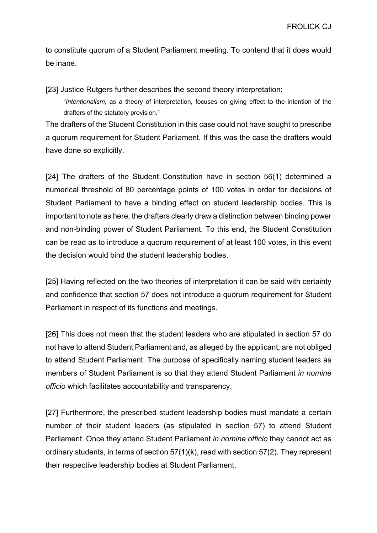to constitute quorum of a Student Parliament meeting. To contend that it does would be inane.

[23] Justice Rutgers further describes the second theory interpretation:

"*Intentionalism*, as a theory of interpretation, focuses on giving effect to the intention of the drafters of the statutory provision."

The drafters of the Student Constitution in this case could not have sought to prescribe a quorum requirement for Student Parliament. If this was the case the drafters would have done so explicitly.

[24] The drafters of the Student Constitution have in section 56(1) determined a numerical threshold of 80 percentage points of 100 votes in order for decisions of Student Parliament to have a binding effect on student leadership bodies. This is important to note as here, the drafters clearly draw a distinction between binding power and non-binding power of Student Parliament. To this end, the Student Constitution can be read as to introduce a quorum requirement of at least 100 votes, in this event the decision would bind the student leadership bodies.

[25] Having reflected on the two theories of interpretation it can be said with certainty and confidence that section 57 does not introduce a quorum requirement for Student Parliament in respect of its functions and meetings.

[26] This does not mean that the student leaders who are stipulated in section 57 do not have to attend Student Parliament and, as alleged by the applicant, are not obliged to attend Student Parliament. The purpose of specifically naming student leaders as members of Student Parliament is so that they attend Student Parliament *in nomine officio* which facilitates accountability and transparency.

[27] Furthermore, the prescribed student leadership bodies must mandate a certain number of their student leaders (as stipulated in section 57) to attend Student Parliament. Once they attend Student Parliament *in nomine officio* they cannot act as ordinary students, in terms of section 57(1)(k), read with section 57(2). They represent their respective leadership bodies at Student Parliament.